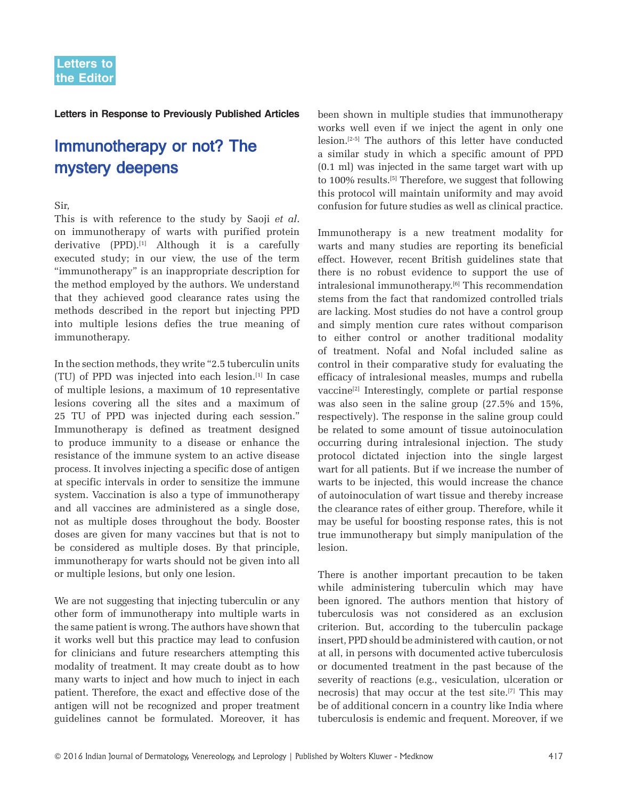**Letters in Response to Previously Published Articles**

# Immunotherapy or not? The mystery deepens

### Sir,

This is with reference to the study by Saoji *et al*. on immunotherapy of warts with purified protein derivative  $(PPD)$ .<sup>[1]</sup> Although it is a carefully executed study; in our view, the use of the term "immunotherapy" is an inappropriate description for the method employed by the authors. We understand that they achieved good clearance rates using the methods described in the report but injecting PPD into multiple lesions defies the true meaning of immunotherapy.

In the section methods, they write "2.5 tuberculin units (TU) of PPD was injected into each lesion.[1] In case of multiple lesions, a maximum of 10 representative lesions covering all the sites and a maximum of 25 TU of PPD was injected during each session." Immunotherapy is defined as treatment designed to produce immunity to a disease or enhance the resistance of the immune system to an active disease process. It involves injecting a specific dose of antigen at specific intervals in order to sensitize the immune system. Vaccination is also a type of immunotherapy and all vaccines are administered as a single dose, not as multiple doses throughout the body. Booster doses are given for many vaccines but that is not to be considered as multiple doses. By that principle, immunotherapy for warts should not be given into all or multiple lesions, but only one lesion.

We are not suggesting that injecting tuberculin or any other form of immunotherapy into multiple warts in the same patient is wrong. The authors have shown that it works well but this practice may lead to confusion for clinicians and future researchers attempting this modality of treatment. It may create doubt as to how many warts to inject and how much to inject in each patient. Therefore, the exact and effective dose of the antigen will not be recognized and proper treatment guidelines cannot be formulated. Moreover, it has been shown in multiple studies that immunotherapy works well even if we inject the agent in only one lesion.[2-5] The authors of this letter have conducted a similar study in which a specific amount of PPD (0.1 ml) was injected in the same target wart with up to 100% results.<sup>[5]</sup> Therefore, we suggest that following this protocol will maintain uniformity and may avoid confusion for future studies as well as clinical practice.

Immunotherapy is a new treatment modality for warts and many studies are reporting its beneficial effect. However, recent British guidelines state that there is no robust evidence to support the use of intralesional immunotherapy.[6] This recommendation stems from the fact that randomized controlled trials are lacking. Most studies do not have a control group and simply mention cure rates without comparison to either control or another traditional modality of treatment. Nofal and Nofal included saline as control in their comparative study for evaluating the efficacy of intralesional measles, mumps and rubella vaccine<sup>[2]</sup> Interestingly, complete or partial response was also seen in the saline group (27.5% and 15%, respectively). The response in the saline group could be related to some amount of tissue autoinoculation occurring during intralesional injection. The study protocol dictated injection into the single largest wart for all patients. But if we increase the number of warts to be injected, this would increase the chance of autoinoculation of wart tissue and thereby increase the clearance rates of either group. Therefore, while it may be useful for boosting response rates, this is not true immunotherapy but simply manipulation of the lesion.

There is another important precaution to be taken while administering tuberculin which may have been ignored. The authors mention that history of tuberculosis was not considered as an exclusion criterion. But, according to the tuberculin package insert, PPD should be administered with caution, or not at all, in persons with documented active tuberculosis or documented treatment in the past because of the severity of reactions (e.g., vesiculation, ulceration or necrosis) that may occur at the test site.[7] This may be of additional concern in a country like India where tuberculosis is endemic and frequent. Moreover, if we